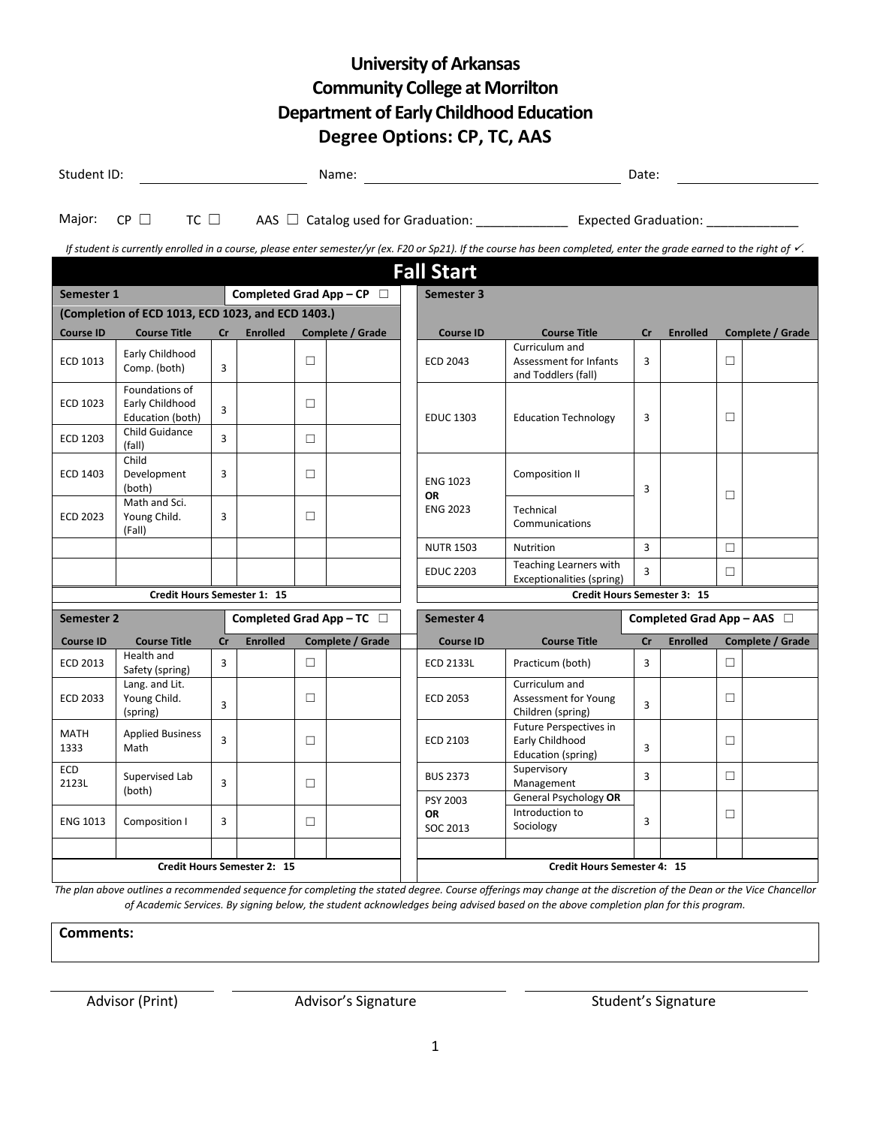## **University of Arkansas Community College at Morrilton Department of Early Childhood Education Degree Options: CP, TC, AAS**

| Student ID:<br>Name:                                                                                                                                                                                   |                                                       |    |                                     |        |                  |  | Date:                                                                                      |                                                                 |                |                                 |   |                  |  |  |
|--------------------------------------------------------------------------------------------------------------------------------------------------------------------------------------------------------|-------------------------------------------------------|----|-------------------------------------|--------|------------------|--|--------------------------------------------------------------------------------------------|-----------------------------------------------------------------|----------------|---------------------------------|---|------------------|--|--|
| TC $\Box$<br>$CP \Box$<br>Major:                                                                                                                                                                       |                                                       |    |                                     |        |                  |  | AAS $\Box$ Catalog used for Graduation: ________________ Expected Graduation: ____________ |                                                                 |                |                                 |   |                  |  |  |
| If student is currently enrolled in a course, please enter semester/yr (ex. F20 or Sp21). If the course has been completed, enter the grade earned to the right of $\checkmark$ .<br><b>Fall Start</b> |                                                       |    |                                     |        |                  |  |                                                                                            |                                                                 |                |                                 |   |                  |  |  |
| Completed Grad App - CP $\Box$<br>Semester 1                                                                                                                                                           |                                                       |    |                                     |        |                  |  | Semester 3                                                                                 |                                                                 |                |                                 |   |                  |  |  |
| (Completion of ECD 1013, ECD 1023, and ECD 1403.)                                                                                                                                                      |                                                       |    |                                     |        |                  |  |                                                                                            |                                                                 |                |                                 |   |                  |  |  |
| <b>Course ID</b>                                                                                                                                                                                       | <b>Course Title</b>                                   | cr | <b>Enrolled</b><br>Complete / Grade |        |                  |  | <b>Course ID</b>                                                                           | <b>Course Title</b>                                             | cr             | <b>Enrolled</b>                 |   | Complete / Grade |  |  |
| ECD 1013                                                                                                                                                                                               | Early Childhood<br>Comp. (both)                       | 3  |                                     | $\Box$ |                  |  | <b>ECD 2043</b>                                                                            | Curriculum and<br>Assessment for Infants<br>and Toddlers (fall) | 3              |                                 | П |                  |  |  |
| ECD 1023                                                                                                                                                                                               | Foundations of<br>Early Childhood<br>Education (both) | 3  |                                     | $\Box$ |                  |  | <b>EDUC 1303</b>                                                                           | <b>Education Technology</b>                                     | 3              |                                 | □ |                  |  |  |
| ECD 1203                                                                                                                                                                                               | Child Guidance<br>(fall)                              | 3  |                                     | $\Box$ |                  |  |                                                                                            |                                                                 |                |                                 |   |                  |  |  |
| ECD 1403                                                                                                                                                                                               | Child<br>Development<br>(both)                        | 3  |                                     | П      |                  |  | <b>ENG 1023</b>                                                                            | <b>Composition II</b>                                           | 3              |                                 |   |                  |  |  |
| <b>ECD 2023</b>                                                                                                                                                                                        | Math and Sci.<br>Young Child.<br>(Fall)               | 3  |                                     | $\Box$ |                  |  | <b>OR</b><br><b>ENG 2023</b>                                                               | Technical<br>Communications                                     |                |                                 | п |                  |  |  |
|                                                                                                                                                                                                        |                                                       |    |                                     |        |                  |  | <b>NUTR 1503</b>                                                                           | Nutrition                                                       | 3              |                                 | П |                  |  |  |
|                                                                                                                                                                                                        |                                                       |    |                                     |        |                  |  | <b>EDUC 2203</b>                                                                           | Teaching Learners with<br>Exceptionalities (spring)             | 3              |                                 | П |                  |  |  |
| Credit Hours Semester 1: 15                                                                                                                                                                            |                                                       |    |                                     |        |                  |  | Credit Hours Semester 3: 15                                                                |                                                                 |                |                                 |   |                  |  |  |
| Semester 2                                                                                                                                                                                             |                                                       |    | Completed Grad App - TC $\Box$      |        |                  |  | Semester 4                                                                                 |                                                                 |                | Completed Grad App - AAS $\Box$ |   |                  |  |  |
| <b>Course ID</b>                                                                                                                                                                                       | <b>Course Title</b>                                   | cr | <b>Enrolled</b>                     |        | Complete / Grade |  | <b>Course ID</b>                                                                           | <b>Course Title</b>                                             | cr             | <b>Enrolled</b>                 |   | Complete / Grade |  |  |
| <b>ECD 2013</b>                                                                                                                                                                                        | Health and<br>Safety (spring)                         | 3  |                                     | П      |                  |  | <b>ECD 2133L</b>                                                                           | Practicum (both)                                                | 3              |                                 | п |                  |  |  |
| ECD 2033                                                                                                                                                                                               | Lang. and Lit.<br>Young Child.<br>(spring)            | 3  |                                     | $\Box$ |                  |  | ECD 2053                                                                                   | Curriculum and<br>Assessment for Young<br>Children (spring)     | $\overline{3}$ |                                 | П |                  |  |  |
| <b>MATH</b><br>1333                                                                                                                                                                                    | <b>Applied Business</b><br>Math                       | 3  |                                     | $\Box$ |                  |  | ECD 2103                                                                                   | Future Perspectives in<br>Early Childhood<br>Education (spring) | 3              |                                 | П |                  |  |  |
| <b>ECD</b><br>2123L                                                                                                                                                                                    | Supervised Lab<br>(both)                              | 3  |                                     | $\Box$ |                  |  | <b>BUS 2373</b>                                                                            | Supervisory<br>Management<br>General Psychology OR              | 3              |                                 | П |                  |  |  |
| <b>ENG 1013</b>                                                                                                                                                                                        | Composition I                                         | 3  |                                     | П      |                  |  | PSY 2003<br><b>OR</b><br>SOC 2013                                                          | Introduction to<br>Sociology                                    | 3              |                                 | □ |                  |  |  |
| <b>Credit Hours Semester 2: 15</b>                                                                                                                                                                     |                                                       |    |                                     |        |                  |  | <b>Credit Hours Semester 4: 15</b>                                                         |                                                                 |                |                                 |   |                  |  |  |

*The plan above outlines a recommended sequence for completing the stated degree. Course offerings may change at the discretion of the Dean or the Vice Chancellor of Academic Services. By signing below, the student acknowledges being advised based on the above completion plan for this program.*

**Comments:**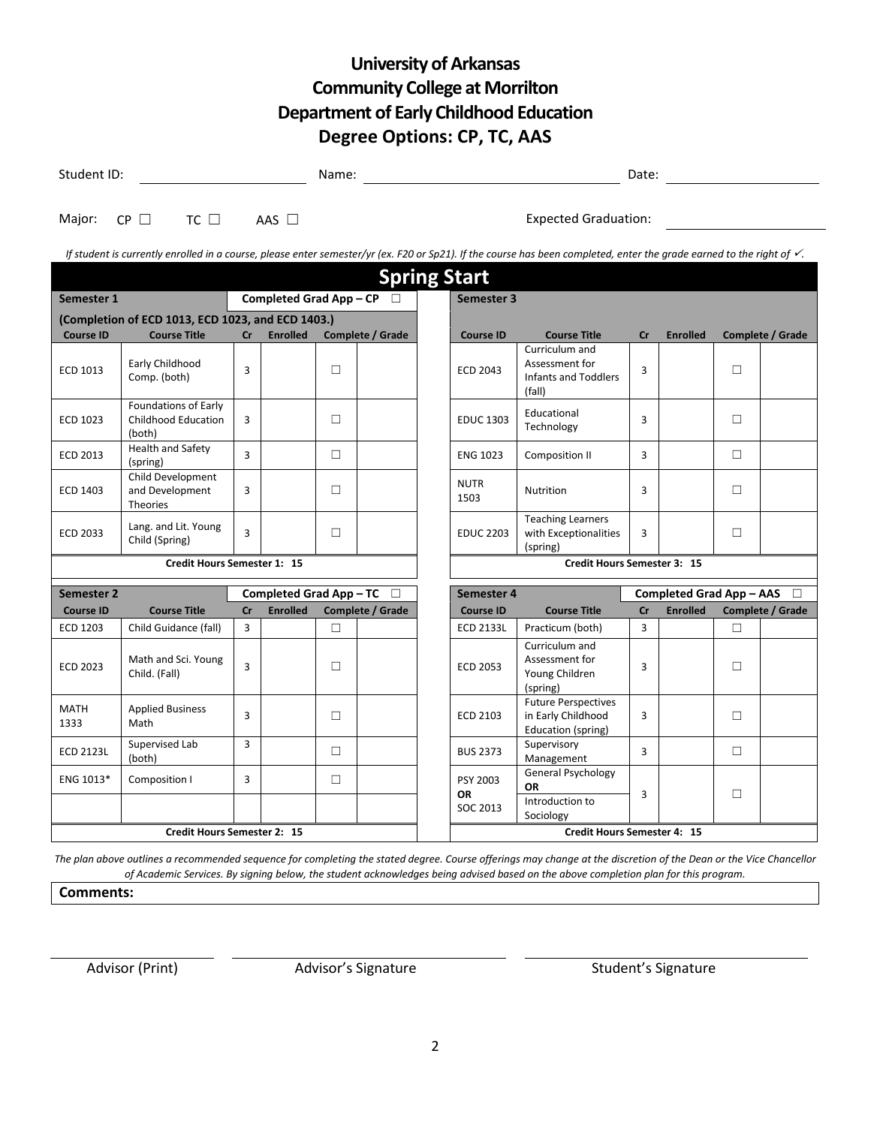## **University of Arkansas Community College at Morrilton Department of Early Childhood Education Degree Options: CP, TC, AAS**

| Student ID:                                          |                                                                                                                                                                                   |                                           |                 |        |                  |                  |                                               |                                                                        | Date: |                 |        |                  |  |  |
|------------------------------------------------------|-----------------------------------------------------------------------------------------------------------------------------------------------------------------------------------|-------------------------------------------|-----------------|--------|------------------|------------------|-----------------------------------------------|------------------------------------------------------------------------|-------|-----------------|--------|------------------|--|--|
| Major:                                               | $TC \Box$<br>$CP \Box$                                                                                                                                                            |                                           | AAS $\Box$      |        |                  |                  |                                               | <b>Expected Graduation:</b>                                            |       |                 |        |                  |  |  |
|                                                      | If student is currently enrolled in a course, please enter semester/yr (ex. F20 or Sp21). If the course has been completed, enter the grade earned to the right of $\checkmark$ . |                                           |                 |        |                  |                  |                                               |                                                                        |       |                 |        |                  |  |  |
|                                                      |                                                                                                                                                                                   |                                           |                 |        |                  |                  | <b>Spring Start</b>                           |                                                                        |       |                 |        |                  |  |  |
| Semester 1                                           |                                                                                                                                                                                   | Completed Grad App - CP<br>$\Box$         |                 |        |                  |                  | Semester 3                                    |                                                                        |       |                 |        |                  |  |  |
| (Completion of ECD 1013, ECD 1023, and ECD 1403.)    |                                                                                                                                                                                   |                                           |                 |        |                  |                  |                                               |                                                                        |       |                 |        |                  |  |  |
| <b>Course ID</b>                                     | <b>Course Title</b>                                                                                                                                                               | cr                                        | <b>Enrolled</b> |        | Complete / Grade |                  | <b>Course ID</b>                              | <b>Course Title</b><br>Curriculum and                                  | cr    | <b>Enrolled</b> |        | Complete / Grade |  |  |
| ECD 1013                                             | Early Childhood<br>Comp. (both)                                                                                                                                                   | 3                                         |                 | П      |                  |                  | <b>ECD 2043</b>                               | Assessment for<br><b>Infants and Toddlers</b><br>(fall)                | 3     |                 | □      |                  |  |  |
| <b>ECD 1023</b>                                      | Foundations of Early<br><b>Childhood Education</b><br>(both)                                                                                                                      | 3                                         |                 | П      |                  |                  | <b>EDUC 1303</b>                              | Educational<br>Technology                                              | 3     |                 | П      |                  |  |  |
| ECD 2013                                             | <b>Health and Safety</b><br>(spring)                                                                                                                                              | 3                                         |                 | $\Box$ |                  |                  | <b>ENG 1023</b>                               | Composition II                                                         | 3     |                 | $\Box$ |                  |  |  |
| ECD 1403                                             | Child Development<br>and Development<br>Theories                                                                                                                                  | 3                                         |                 | П      |                  |                  | <b>NUTR</b><br>1503                           | Nutrition                                                              | 3     |                 | П      |                  |  |  |
| <b>ECD 2033</b>                                      | Lang. and Lit. Young<br>Child (Spring)                                                                                                                                            | 3                                         |                 | П      |                  |                  | <b>EDUC 2203</b>                              | <b>Teaching Learners</b><br>with Exceptionalities<br>(spring)          | 3     |                 | $\Box$ |                  |  |  |
|                                                      | Credit Hours Semester 1: 15                                                                                                                                                       |                                           |                 |        |                  |                  | Credit Hours Semester 3: 15                   |                                                                        |       |                 |        |                  |  |  |
| <b>Completed Grad App-TC</b><br>Semester 2<br>$\Box$ |                                                                                                                                                                                   |                                           |                 |        |                  |                  | Semester 4<br><b>Completed Grad App - AAS</b> |                                                                        |       |                 |        | П                |  |  |
| <b>Course Title</b><br><b>Course ID</b>              |                                                                                                                                                                                   | <b>Enrolled</b><br>Complete / Grade<br>cr |                 |        |                  | <b>Course ID</b> | <b>Course Title</b>                           | cr<br><b>Enrolled</b><br>Complete / Grade                              |       |                 |        |                  |  |  |
| <b>ECD 1203</b>                                      | Child Guidance (fall)                                                                                                                                                             | 3                                         |                 | П      |                  |                  | <b>ECD 2133L</b>                              | Practicum (both)                                                       | 3     |                 | □      |                  |  |  |
| <b>ECD 2023</b>                                      | Math and Sci. Young<br>Child. (Fall)                                                                                                                                              | $\overline{3}$                            |                 | $\Box$ |                  |                  | <b>ECD 2053</b>                               | Curriculum and<br>Assessment for<br>Young Children<br>(spring)         | 3     |                 | $\Box$ |                  |  |  |
| <b>MATH</b><br>1333                                  | <b>Applied Business</b><br>Math                                                                                                                                                   | 3                                         |                 | $\Box$ |                  |                  | ECD 2103                                      | <b>Future Perspectives</b><br>in Early Childhood<br>Education (spring) | 3     |                 | П      |                  |  |  |
| <b>ECD 2123L</b>                                     | Supervised Lab<br>(both)                                                                                                                                                          | 3                                         |                 | $\Box$ |                  |                  | <b>BUS 2373</b>                               | Supervisory<br>Management                                              | 3     |                 | $\Box$ |                  |  |  |
| ENG 1013*                                            | Composition I                                                                                                                                                                     | 3                                         |                 | $\Box$ |                  |                  | PSY 2003<br><b>OR</b><br>SOC 2013             | <b>General Psychology</b><br>OR<br>Introduction to<br>Sociology        | 3     |                 | $\Box$ |                  |  |  |
|                                                      | Credit Hours Semester 2: 15                                                                                                                                                       |                                           |                 |        |                  |                  | <b>Credit Hours Semester 4: 15</b>            |                                                                        |       |                 |        |                  |  |  |

*The plan above outlines a recommended sequence for completing the stated degree. Course offerings may change at the discretion of the Dean or the Vice Chancellor of Academic Services. By signing below, the student acknowledges being advised based on the above completion plan for this program.*

**Comments:**

Advisor (Print) Advisor's Signature Advisor's Signature Student's Signature